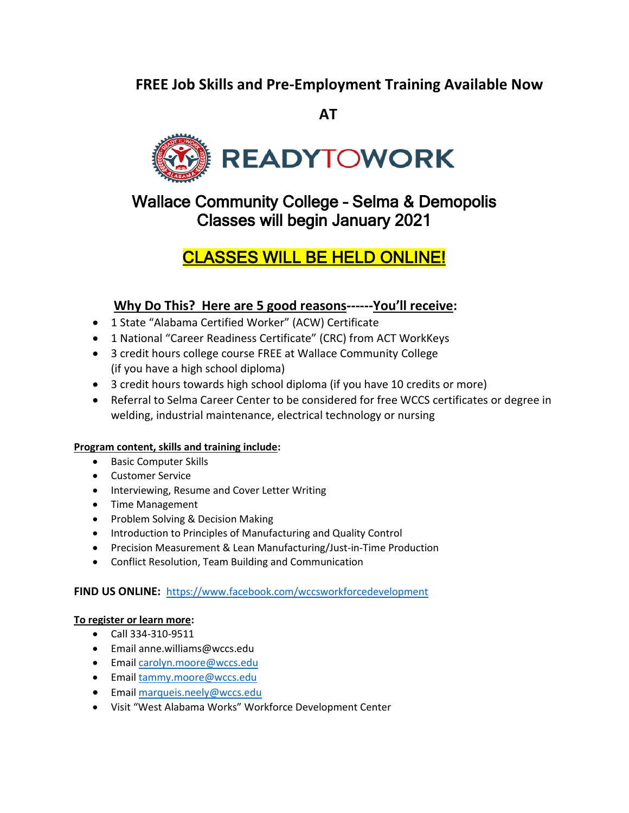### **FREE Job Skills and Pre-Employment Training Available Now**

 **AT**



Wallace Community College – Selma & Demopolis Classes will begin January 2021

# CLASSES WILL BE HELD ONLINE!

### **Why Do This? Here are 5 good reasons------You'll receive:**

- 1 State "Alabama Certified Worker" (ACW) Certificate
- 1 National "Career Readiness Certificate" (CRC) from ACT WorkKeys
- 3 credit hours college course FREE at Wallace Community College (if you have a high school diploma)
- 3 credit hours towards high school diploma (if you have 10 credits or more)
- Referral to Selma Career Center to be considered for free WCCS certificates or degree in welding, industrial maintenance, electrical technology or nursing

#### **Program content, skills and training include:**

- Basic Computer Skills
- Customer Service
- Interviewing, Resume and Cover Letter Writing
- Time Management
- Problem Solving & Decision Making
- Introduction to Principles of Manufacturing and Quality Control
- Precision Measurement & Lean Manufacturing/Just-in-Time Production
- Conflict Resolution, Team Building and Communication

#### **FIND US ONLINE:** <https://www.facebook.com/wccsworkforcedevelopment>

#### **To register or learn more:**

- Call 334-310-9511
- Email anne.williams@wccs.edu
- Email [carolyn.moore@wccs.edu](mailto:carolyn.moore@wccs.edu)
- Email [tammy.moore@wccs.edu](mailto:tammy.moore@wccs.edu)
- **Email [marqueis.neely@wccs.edu](mailto:marqueis.neely@wccs.edu)**
- Visit "West Alabama Works" Workforce Development Center